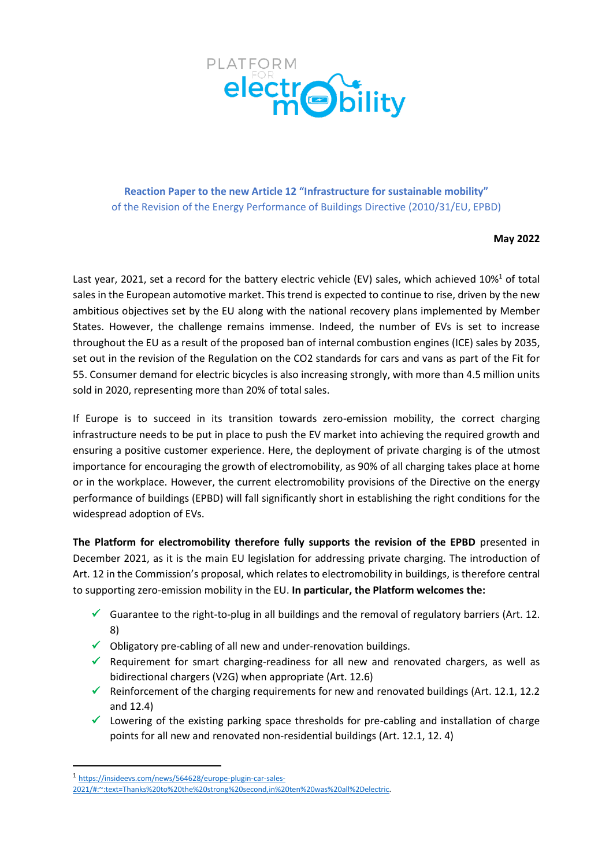

**Reaction Paper to the new Article 12 "Infrastructure for sustainable mobility"** of the Revision of the Energy Performance of Buildings Directive (2010/31/EU, EPBD)

#### **May 2022**

Last year, 2021, set a record for the battery electric vehicle (EV) sales, which achieved 10%<sup>1</sup> of total sales in the European automotive market. This trend is expected to continue to rise, driven by the new ambitious objectives set by the EU along with the national recovery plans implemented by Member States. However, the challenge remains immense. Indeed, the number of EVs is set to increase throughout the EU as a result of the proposed ban of internal combustion engines (ICE) sales by 2035, set out in the revision of the Regulation on the CO2 standards for cars and vans as part of the Fit for 55. Consumer demand for electric bicycles is also increasing strongly, with more than 4.5 million units sold in 2020, representing more than 20% of total sales.

If Europe is to succeed in its transition towards zero-emission mobility, the correct charging infrastructure needs to be put in place to push the EV market into achieving the required growth and ensuring a positive customer experience. Here, the deployment of private charging is of the utmost importance for encouraging the growth of electromobility, as 90% of all charging takes place at home or in the workplace. However, the current electromobility provisions of the Directive on the energy performance of buildings (EPBD) will fall significantly short in establishing the right conditions for the widespread adoption of EVs.

**The Platform for electromobility therefore fully supports the revision of the EPBD** presented in December 2021, as it is the main EU legislation for addressing private charging. The introduction of Art. 12 in the Commission's proposal, which relates to electromobility in buildings, is therefore central to supporting zero-emission mobility in the EU. **In particular, the Platform welcomes the:** 

- $\checkmark$  Guarantee to the right-to-plug in all buildings and the removal of regulatory barriers (Art. 12. 8)
- ✓ Obligatory pre-cabling of all new and under-renovation buildings.
- $\checkmark$  Requirement for smart charging-readiness for all new and renovated chargers, as well as bidirectional chargers (V2G) when appropriate (Art. 12.6)
- $\checkmark$  Reinforcement of the charging requirements for new and renovated buildings (Art. 12.1, 12.2 and 12.4)
- ✓ Lowering of the existing parking space thresholds for pre-cabling and installation of charge points for all new and renovated non-residential buildings (Art. 12.1, 12. 4)

<sup>1</sup> [https://insideevs.com/news/564628/europe-plugin-car-sales-](https://insideevs.com/news/564628/europe-plugin-car-sales-2021/#:~:text=Thanks%20to%20the%20strong%20second,in%20ten%20was%20all%2Delectric)

[<sup>2021/#:~:</sup>text=Thanks%20to%20the%20strong%20second,in%20ten%20was%20all%2Delectric.](https://insideevs.com/news/564628/europe-plugin-car-sales-2021/#:~:text=Thanks%20to%20the%20strong%20second,in%20ten%20was%20all%2Delectric)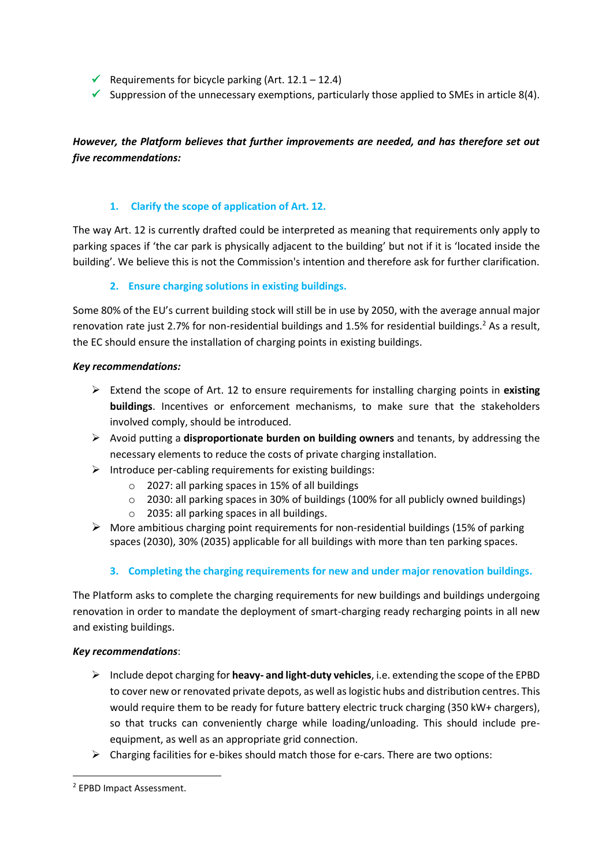- ✓ Requirements for bicycle parking (Art. 12.1 12.4)
- $\checkmark$  Suppression of the unnecessary exemptions, particularly those applied to SMEs in article 8(4).

# *However, the Platform believes that further improvements are needed, and has therefore set out five recommendations:*

### **1. Clarify the scope of application of Art. 12.**

The way Art. 12 is currently drafted could be interpreted as meaning that requirements only apply to parking spaces if 'the car park is physically adjacent to the building' but not if it is 'located inside the building'. We believe this is not the Commission's intention and therefore ask for further clarification.

### **2. Ensure charging solutions in existing buildings.**

Some 80% of the EU's current building stock will still be in use by 2050, with the average annual major renovation rate just 2.7% for non-residential buildings and 1.5% for residential buildings.<sup>2</sup> As a result, the EC should ensure the installation of charging points in existing buildings.

### *Key recommendations:*

- ➢ Extend the scope of Art. 12 to ensure requirements for installing charging points in **existing buildings**. Incentives or enforcement mechanisms, to make sure that the stakeholders involved comply, should be introduced.
- ➢ Avoid putting a **disproportionate burden on building owners** and tenants, by addressing the necessary elements to reduce the costs of private charging installation.
- $\triangleright$  Introduce per-cabling requirements for existing buildings:
	- o 2027: all parking spaces in 15% of all buildings
	- $\circ$  2030: all parking spaces in 30% of buildings (100% for all publicly owned buildings)
	- o 2035: all parking spaces in all buildings.
- $\triangleright$  More ambitious charging point requirements for non-residential buildings (15% of parking spaces (2030), 30% (2035) applicable for all buildings with more than ten parking spaces.
	- **3. Completing the charging requirements for new and under major renovation buildings.**

The Platform asks to complete the charging requirements for new buildings and buildings undergoing renovation in order to mandate the deployment of smart-charging ready recharging points in all new and existing buildings.

### *Key recommendations*:

- ➢ Include depot charging for **heavy- and light-duty vehicles**, i.e. extending the scope of the EPBD to cover new or renovated private depots, as well as logistic hubs and distribution centres. This would require them to be ready for future battery electric truck charging (350 kW+ chargers), so that trucks can conveniently charge while loading/unloading. This should include preequipment, as well as an appropriate grid connection.
- $\triangleright$  Charging facilities for e-bikes should match those for e-cars. There are two options:

<sup>2</sup> EPBD Impact Assessment.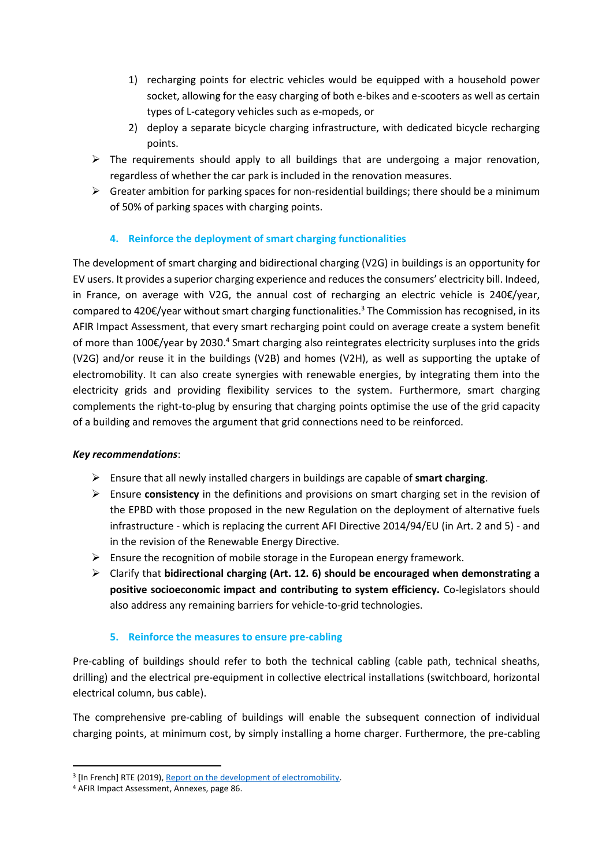- 1) recharging points for electric vehicles would be equipped with a household power socket, allowing for the easy charging of both e-bikes and e-scooters as well as certain types of L-category vehicles such as e-mopeds, or
- 2) deploy a separate bicycle charging infrastructure, with dedicated bicycle recharging points.
- $\triangleright$  The requirements should apply to all buildings that are undergoing a major renovation, regardless of whether the car park is included in the renovation measures.
- $\triangleright$  Greater ambition for parking spaces for non-residential buildings; there should be a minimum of 50% of parking spaces with charging points.

## **4. Reinforce the deployment of smart charging functionalities**

The development of smart charging and bidirectional charging (V2G) in buildings is an opportunity for EV users. It provides a superior charging experience and reduces the consumers' electricity bill. Indeed, in France, on average with V2G, the annual cost of recharging an electric vehicle is 240€/year, compared to 420€/year without smart charging functionalities.<sup>3</sup> The Commission has recognised, in its AFIR Impact Assessment, that every smart recharging point could on average create a system benefit of more than 100€/year by 2030.<sup>4</sup> Smart charging also reintegrates electricity surpluses into the grids (V2G) and/or reuse it in the buildings (V2B) and homes (V2H), as well as supporting the uptake of electromobility. It can also create synergies with renewable energies, by integrating them into the electricity grids and providing flexibility services to the system. Furthermore, smart charging complements the right-to-plug by ensuring that charging points optimise the use of the grid capacity of a building and removes the argument that grid connections need to be reinforced.

## *Key recommendations*:

- ➢ Ensure that all newly installed chargers in buildings are capable of **smart charging**.
- ➢ Ensure **consistency** in the definitions and provisions on smart charging set in the revision of the EPBD with those proposed in the new Regulation on the deployment of alternative fuels infrastructure - which is replacing the current AFI Directive 2014/94/EU (in Art. 2 and 5) - and in the revision of the Renewable Energy Directive.
- $\triangleright$  Ensure the recognition of mobile storage in the European energy framework.
- ➢ Clarify that **bidirectional charging (Art. 12. 6) should be encouraged when demonstrating a positive socioeconomic impact and contributing to system efficiency.** Co-legislators should also address any remaining barriers for vehicle-to-grid technologies.

## **5. Reinforce the measures to ensure pre-cabling**

Pre-cabling of buildings should refer to both the technical cabling (cable path, technical sheaths, drilling) and the electrical pre-equipment in collective electrical installations (switchboard, horizontal electrical column, bus cable).

The comprehensive pre-cabling of buildings will enable the subsequent connection of individual charging points, at minimum cost, by simply installing a home charger. Furthermore, the pre-cabling

<sup>&</sup>lt;sup>3</sup> [In French] RTE (2019)[, Report on the development of electromobility.](https://www.concerte.fr/system/files/concertation/Electromobilite%CC%81%20-%20Synth%C3%A8se%20vFinale.pdf)

<sup>4</sup> AFIR Impact Assessment, Annexes, page 86.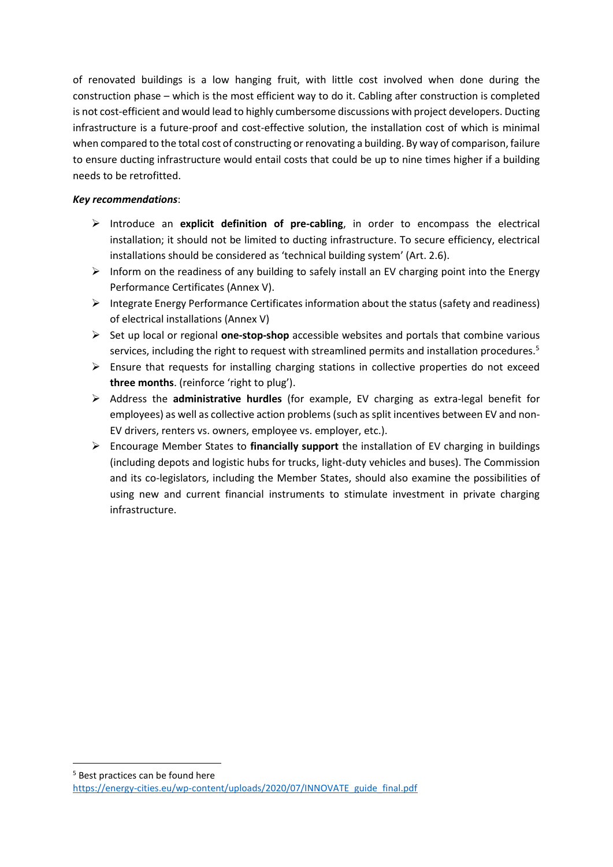of renovated buildings is a low hanging fruit, with little cost involved when done during the construction phase – which is the most efficient way to do it. Cabling after construction is completed is not cost-efficient and would lead to highly cumbersome discussions with project developers. Ducting infrastructure is a future-proof and cost-effective solution, the installation cost of which is minimal when compared to the total cost of constructing or renovating a building. By way of comparison, failure to ensure ducting infrastructure would entail costs that could be up to nine times higher if a building needs to be retrofitted.

## *Key recommendations*:

- ➢ Introduce an **explicit definition of pre-cabling**, in order to encompass the electrical installation; it should not be limited to ducting infrastructure. To secure efficiency, electrical installations should be considered as 'technical building system' (Art. 2.6).
- $\triangleright$  Inform on the readiness of any building to safely install an EV charging point into the Energy Performance Certificates (Annex V).
- $\triangleright$  Integrate Energy Performance Certificates information about the status (safety and readiness) of electrical installations (Annex V)
- ➢ Set up local or regional **one-stop-shop** accessible websites and portals that combine various services, including the right to request with streamlined permits and installation procedures.<sup>5</sup>
- $\triangleright$  Ensure that requests for installing charging stations in collective properties do not exceed **three months**. (reinforce 'right to plug').
- ➢ Address the **administrative hurdles** (for example, EV charging as extra-legal benefit for employees) as well as collective action problems (such as split incentives between EV and non-EV drivers, renters vs. owners, employee vs. employer, etc.).
- ➢ Encourage Member States to **financially support** the installation of EV charging in buildings (including depots and logistic hubs for trucks, light-duty vehicles and buses). The Commission and its co-legislators, including the Member States, should also examine the possibilities of using new and current financial instruments to stimulate investment in private charging infrastructure.

<sup>5</sup> Best practices can be found here [https://energy-cities.eu/wp-content/uploads/2020/07/INNOVATE\\_guide\\_final.pdf](https://energy-cities.eu/wp-content/uploads/2020/07/INNOVATE_guide_final.pdf)